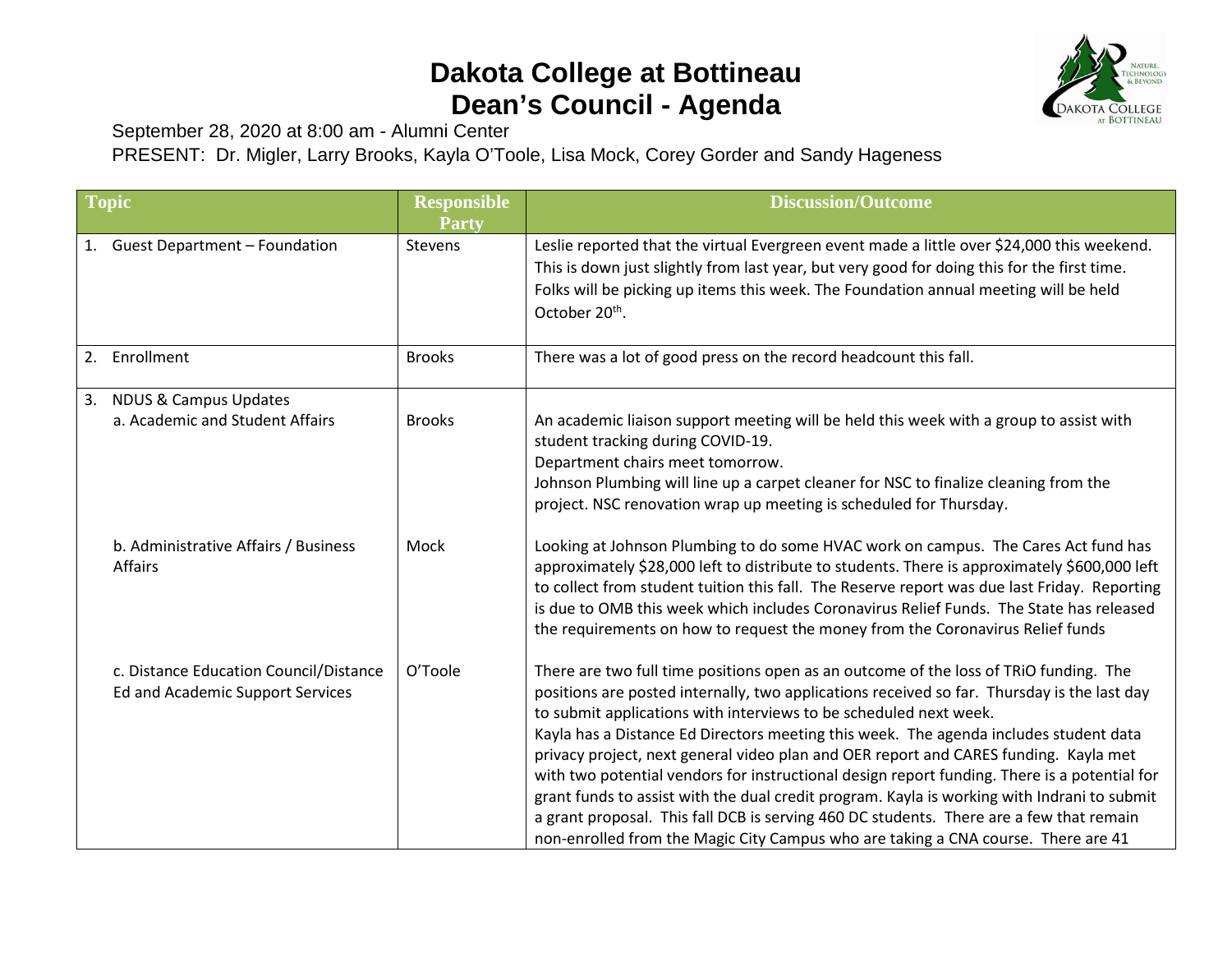## **Dakota College at Bottineau Dean's Council - Agenda**



September 28, 2020 at 8:00 am - Alumni Center

PRESENT: Dr. Migler, Larry Brooks, Kayla O'Toole, Lisa Mock, Corey Gorder and Sandy Hageness

| <b>Topic</b> |                                                                            | <b>Responsible</b><br><b>Party</b> | <b>Discussion/Outcome</b>                                                                                                                                                                                                                                                                                                                                                                                                                                                                                                                                                                                                                                                                                                                                                                                                 |
|--------------|----------------------------------------------------------------------------|------------------------------------|---------------------------------------------------------------------------------------------------------------------------------------------------------------------------------------------------------------------------------------------------------------------------------------------------------------------------------------------------------------------------------------------------------------------------------------------------------------------------------------------------------------------------------------------------------------------------------------------------------------------------------------------------------------------------------------------------------------------------------------------------------------------------------------------------------------------------|
| 1.           | <b>Guest Department - Foundation</b>                                       | Stevens                            | Leslie reported that the virtual Evergreen event made a little over \$24,000 this weekend.<br>This is down just slightly from last year, but very good for doing this for the first time.<br>Folks will be picking up items this week. The Foundation annual meeting will be held<br>October 20 <sup>th</sup> .                                                                                                                                                                                                                                                                                                                                                                                                                                                                                                           |
|              | 2. Enrollment                                                              | <b>Brooks</b>                      | There was a lot of good press on the record headcount this fall.                                                                                                                                                                                                                                                                                                                                                                                                                                                                                                                                                                                                                                                                                                                                                          |
|              | 3. NDUS & Campus Updates<br>a. Academic and Student Affairs                | <b>Brooks</b>                      | An academic liaison support meeting will be held this week with a group to assist with<br>student tracking during COVID-19.<br>Department chairs meet tomorrow.<br>Johnson Plumbing will line up a carpet cleaner for NSC to finalize cleaning from the<br>project. NSC renovation wrap up meeting is scheduled for Thursday.                                                                                                                                                                                                                                                                                                                                                                                                                                                                                             |
|              | b. Administrative Affairs / Business<br>Affairs                            | Mock                               | Looking at Johnson Plumbing to do some HVAC work on campus. The Cares Act fund has<br>approximately \$28,000 left to distribute to students. There is approximately \$600,000 left<br>to collect from student tuition this fall. The Reserve report was due last Friday. Reporting<br>is due to OMB this week which includes Coronavirus Relief Funds. The State has released<br>the requirements on how to request the money from the Coronavirus Relief funds                                                                                                                                                                                                                                                                                                                                                           |
|              | c. Distance Education Council/Distance<br>Ed and Academic Support Services | O'Toole                            | There are two full time positions open as an outcome of the loss of TRIO funding. The<br>positions are posted internally, two applications received so far. Thursday is the last day<br>to submit applications with interviews to be scheduled next week.<br>Kayla has a Distance Ed Directors meeting this week. The agenda includes student data<br>privacy project, next general video plan and OER report and CARES funding. Kayla met<br>with two potential vendors for instructional design report funding. There is a potential for<br>grant funds to assist with the dual credit program. Kayla is working with Indrani to submit<br>a grant proposal. This fall DCB is serving 460 DC students. There are a few that remain<br>non-enrolled from the Magic City Campus who are taking a CNA course. There are 41 |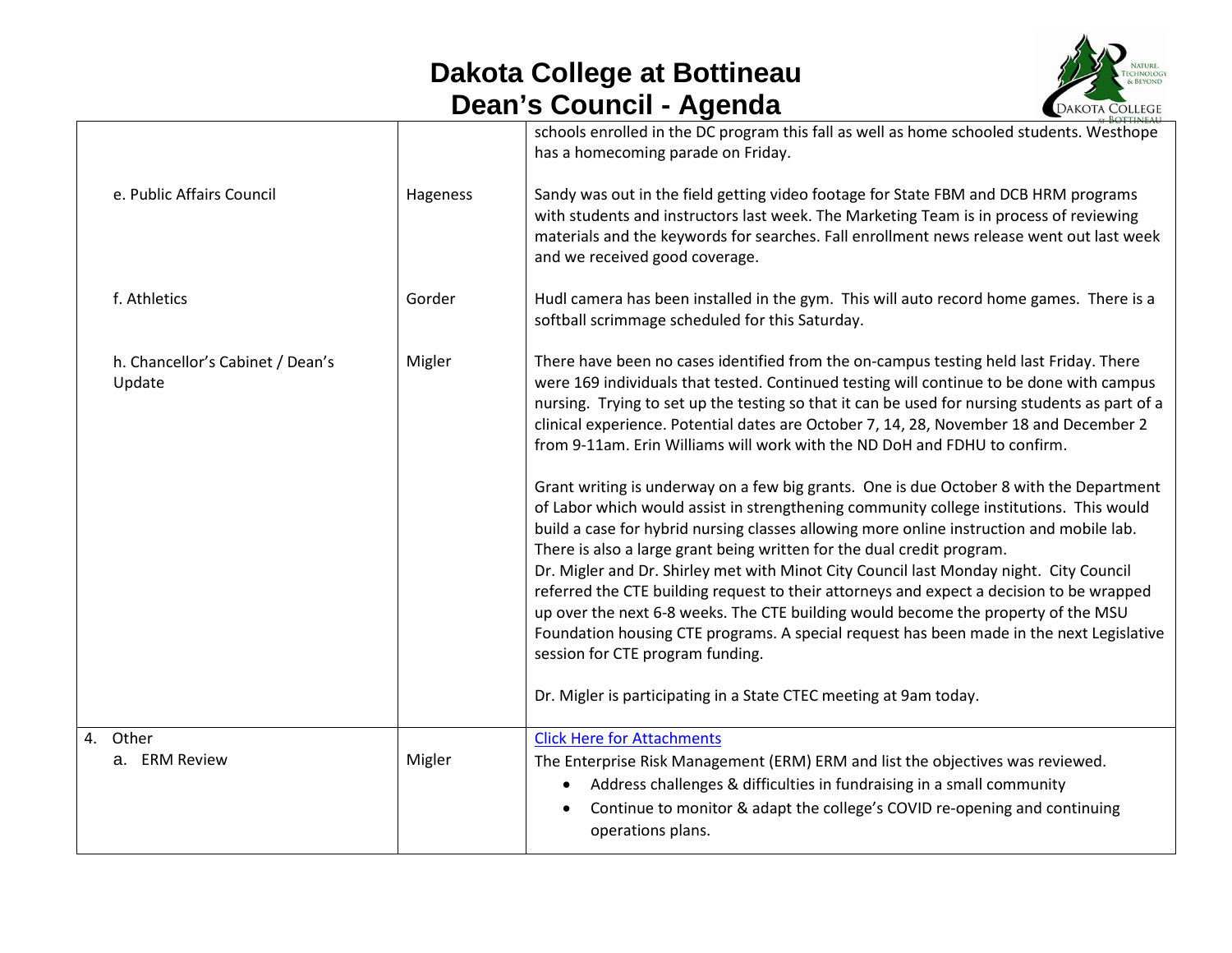## **Dakota College at Bottineau Dean's Council - Agenda**



|                                            |          | schools enrolled in the DC program this fall as well as home schooled students. Westhope<br>has a homecoming parade on Friday.                                                                                                                                                                                                                                                                                                                                                                                                                                                                                                                                                                                                                |
|--------------------------------------------|----------|-----------------------------------------------------------------------------------------------------------------------------------------------------------------------------------------------------------------------------------------------------------------------------------------------------------------------------------------------------------------------------------------------------------------------------------------------------------------------------------------------------------------------------------------------------------------------------------------------------------------------------------------------------------------------------------------------------------------------------------------------|
| e. Public Affairs Council                  | Hageness | Sandy was out in the field getting video footage for State FBM and DCB HRM programs<br>with students and instructors last week. The Marketing Team is in process of reviewing<br>materials and the keywords for searches. Fall enrollment news release went out last week<br>and we received good coverage.                                                                                                                                                                                                                                                                                                                                                                                                                                   |
| f. Athletics                               | Gorder   | Hudl camera has been installed in the gym. This will auto record home games. There is a<br>softball scrimmage scheduled for this Saturday.                                                                                                                                                                                                                                                                                                                                                                                                                                                                                                                                                                                                    |
| h. Chancellor's Cabinet / Dean's<br>Update | Migler   | There have been no cases identified from the on-campus testing held last Friday. There<br>were 169 individuals that tested. Continued testing will continue to be done with campus<br>nursing. Trying to set up the testing so that it can be used for nursing students as part of a<br>clinical experience. Potential dates are October 7, 14, 28, November 18 and December 2<br>from 9-11am. Erin Williams will work with the ND DoH and FDHU to confirm.<br>Grant writing is underway on a few big grants. One is due October 8 with the Department<br>of Labor which would assist in strengthening community college institutions. This would<br>build a case for hybrid nursing classes allowing more online instruction and mobile lab. |
|                                            |          | There is also a large grant being written for the dual credit program.<br>Dr. Migler and Dr. Shirley met with Minot City Council last Monday night. City Council<br>referred the CTE building request to their attorneys and expect a decision to be wrapped<br>up over the next 6-8 weeks. The CTE building would become the property of the MSU<br>Foundation housing CTE programs. A special request has been made in the next Legislative<br>session for CTE program funding.                                                                                                                                                                                                                                                             |
|                                            |          | Dr. Migler is participating in a State CTEC meeting at 9am today.                                                                                                                                                                                                                                                                                                                                                                                                                                                                                                                                                                                                                                                                             |
| 4. Other<br>a. ERM Review                  | Migler   | <b>Click Here for Attachments</b><br>The Enterprise Risk Management (ERM) ERM and list the objectives was reviewed.<br>Address challenges & difficulties in fundraising in a small community<br>Continue to monitor & adapt the college's COVID re-opening and continuing<br>operations plans.                                                                                                                                                                                                                                                                                                                                                                                                                                                |